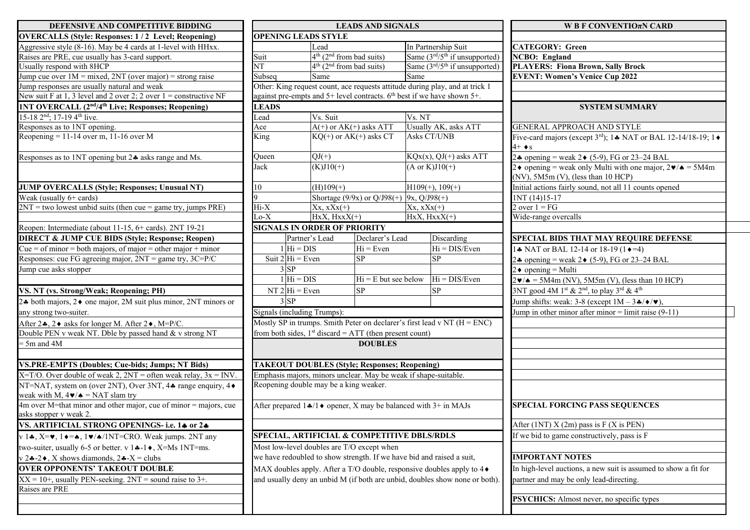| DEFENSIVE AND COMPETITIVE BIDDING                                                                                                           |                                                                                |                                                                                                                         | <b>LEADS AND SIGNALS</b>                 |                                                                                  | W B F CONVENTIO $\pi$ N CARD                                                              |  |
|---------------------------------------------------------------------------------------------------------------------------------------------|--------------------------------------------------------------------------------|-------------------------------------------------------------------------------------------------------------------------|------------------------------------------|----------------------------------------------------------------------------------|-------------------------------------------------------------------------------------------|--|
| <b>OVERCALLS (Style: Responses: 1/2 Level; Reopening)</b>                                                                                   | <b>OPENING LEADS STYLE</b>                                                     |                                                                                                                         |                                          |                                                                                  |                                                                                           |  |
| Aggressive style $(8-16)$ . May be 4 cards at 1-level with HHxx.                                                                            |                                                                                | Lead                                                                                                                    |                                          | In Partnership Suit                                                              | <b>CATEGORY: Green</b>                                                                    |  |
| Raises are PRE, cue usually has 3-card support.                                                                                             | Suit                                                                           | $4th$ (2 <sup>nd</sup> from bad suits)                                                                                  |                                          | Same $(3rd/5th$ if unsupported)                                                  | <b>NCBO</b> : England                                                                     |  |
| Usually respond with 8HCP                                                                                                                   | NT                                                                             | $4th$ (2 <sup>nd</sup> from bad suits)                                                                                  |                                          | Same (3rd/5 <sup>th</sup> if unsupported)                                        | <b>PLAYERS: Fiona Brown, Sally Brock</b>                                                  |  |
| Jump cue over $1M = mixed$ , $2NT$ (over major) = strong raise                                                                              | Subseq<br>Same                                                                 |                                                                                                                         |                                          | Same                                                                             | <b>EVENT: Women's Venice Cup 2022</b>                                                     |  |
| Jump responses are usually natural and weak                                                                                                 | Other: King request count, ace requests attitude during play, and at trick 1   |                                                                                                                         |                                          |                                                                                  |                                                                                           |  |
| New suit F at 1, 3 level and 2 over 2; 2 over $1 =$ constructive NF                                                                         | against pre-empts and $5+$ level contracts. $6th$ best if we have shown $5+$ . |                                                                                                                         |                                          |                                                                                  |                                                                                           |  |
| <b>INT OVERCALL (2nd/4th Live; Responses; Reopening)</b>                                                                                    | <b>LEADS</b>                                                                   |                                                                                                                         |                                          |                                                                                  | <b>SYSTEM SUMMARY</b>                                                                     |  |
| 15-18 2 <sup>nd</sup> ; 17-19 4 <sup>th</sup> live.                                                                                         | Lead                                                                           | Vs. Suit                                                                                                                |                                          | Vs. NT                                                                           |                                                                                           |  |
| Responses as to 1NT opening.                                                                                                                | Ace                                                                            |                                                                                                                         | $A(+)$ or $AK(+)$ asks ATT               | Usually AK, asks ATT                                                             | <b>GENERAL APPROACH AND STYLE</b>                                                         |  |
| Reopening = 11-14 over m, 11-16 over M                                                                                                      | King                                                                           |                                                                                                                         | $KQ(+)$ or $AK(+)$ asks CT               | Asks CT/UNB                                                                      | Five-card majors (except 3rd); 14 NAT or BAL 12-14/18-19; 14                              |  |
|                                                                                                                                             |                                                                                |                                                                                                                         |                                          | $4+ \bullet s$                                                                   |                                                                                           |  |
| Responses as to 1NT opening but 24 asks range and Ms.                                                                                       | Queen                                                                          | $QJ(+)$                                                                                                                 |                                          | $KQx(x), QJ(+)$ asks ATT                                                         | 2.4 opening = weak 2 $\bullet$ (5-9), FG or 23–24 BAL                                     |  |
|                                                                                                                                             | Jack<br>$(K)J10(+)$                                                            |                                                                                                                         |                                          | $(A \text{ or } K)J10(+)$                                                        | 2 • opening = weak only Multi with one major, $2\mathbf{v}/\mathbf{A} = 5M4m$             |  |
|                                                                                                                                             |                                                                                |                                                                                                                         |                                          |                                                                                  | $(NV)$ , 5M5m $(V)$ , (less than 10 HCP)                                                  |  |
| <b>JUMP OVERCALLS (Style; Responses; Unusual NT)</b>                                                                                        | 10                                                                             | $(H)109(+)$                                                                                                             |                                          | $H109(+), 109(+)$                                                                | Initial actions fairly sound, not all 11 counts opened                                    |  |
| Weak (usually $6+$ cards)                                                                                                                   |                                                                                |                                                                                                                         | Shortage (9/9x) or Q/J98(+) 9x, Q/J98(+) |                                                                                  | 1NT (14)15-17                                                                             |  |
| $2NT = two lowest unbiased units (then cue = game try, jumps PRE)$                                                                          | $Hi-X$                                                                         | $Xx, xXx(+)$                                                                                                            |                                          | $Xx, xXx(+)$                                                                     | 2 over $1 = FG$                                                                           |  |
|                                                                                                                                             | $Lo-X$                                                                         | $HxX, HxxX(+)$                                                                                                          |                                          | $HxX, HxxX(+)$                                                                   | Wide-range overcalls                                                                      |  |
| Reopen: Intermediate (about 11-15, 6+ cards). 2NT 19-21                                                                                     | <b>SIGNALS IN ORDER OF PRIORITY</b>                                            |                                                                                                                         |                                          |                                                                                  |                                                                                           |  |
| <b>DIRECT &amp; JUMP CUE BIDS (Style; Response; Reopen)</b>                                                                                 |                                                                                | Partner's Lead                                                                                                          | Declarer's Lead                          | Discarding                                                                       | <b>SPECIAL BIDS THAT MAY REQUIRE DEFENSE</b>                                              |  |
| Cue = of minor = both majors, of major = other major + minor                                                                                | $1 \vert \text{Hi} = \text{DIS}$                                               |                                                                                                                         | $Hi = Even$                              | $Hi = DIS/Even$                                                                  | 1. NAT or BAL 12-14 or 18-19 (1 $\rightarrow$ =4)                                         |  |
| Responses: cue FG agreeing major, 2NT = game try, 3C=P/C                                                                                    | Suit $2 Hi = Even$                                                             |                                                                                                                         | <b>SP</b>                                | <b>SP</b>                                                                        | 24 opening = weak 2 $\bullet$ (5-9), FG or 23–24 BAL                                      |  |
| Jump cue asks stopper                                                                                                                       | $3$ SP                                                                         |                                                                                                                         |                                          |                                                                                  | $2 \triangleleft$ opening = Multi                                                         |  |
|                                                                                                                                             | $1 \vert \text{Hi} = \text{DIS}$                                               |                                                                                                                         | $Hi = E but see below$                   | $Hi = DIS/Even$                                                                  | $2\mathbf{v}/\mathbf{A} = 5M4m$ (NV), $5M5m$ (V), (less than 10 HCP)                      |  |
| VS. NT (vs. Strong/Weak; Reopening; PH)                                                                                                     | NT $2 Hi = Even$                                                               |                                                                                                                         | SP                                       | <b>SP</b>                                                                        | 3NT good 4M 1 <sup>st</sup> & 2 <sup>nd</sup> , to play 3 <sup>rd</sup> & 4 <sup>th</sup> |  |
| 2.4 both majors, 2♦ one major, 2M suit plus minor, 2NT minors or                                                                            | $3$ SP                                                                         |                                                                                                                         |                                          |                                                                                  | Jump shifts: weak: 3-8 (except $1M - 3\cdot/(4\cdot)\cdot)$ ),                            |  |
| any strong two-suiter.                                                                                                                      |                                                                                |                                                                                                                         |                                          | Jump in other minor after minor = limit raise $(9-11)$                           |                                                                                           |  |
|                                                                                                                                             | Signals (including Trumps):                                                    |                                                                                                                         |                                          |                                                                                  |                                                                                           |  |
| After 2, 2 ♦ asks for longer M. After 2 ♦, M=P/C.                                                                                           | Mostly SP in trumps. Smith Peter on declarer's first lead v NT $(H = ENC)$     |                                                                                                                         |                                          |                                                                                  |                                                                                           |  |
| Double PEN v weak NT. Dble by passed hand & v strong NT                                                                                     | from both sides, $1st$ discard = ATT (then present count)                      |                                                                                                                         |                                          |                                                                                  |                                                                                           |  |
| $= 5m$ and $4M$                                                                                                                             | <b>DOUBLES</b>                                                                 |                                                                                                                         |                                          |                                                                                  |                                                                                           |  |
|                                                                                                                                             |                                                                                |                                                                                                                         |                                          |                                                                                  |                                                                                           |  |
| <b>VS.PRE-EMPTS (Doubles; Cue-bids; Jumps; NT Bids)</b>                                                                                     |                                                                                | <b>TAKEOUT DOUBLES (Style; Responses; Reopening)</b><br>Emphasis majors, minors unclear. May be weak if shape-suitable. |                                          |                                                                                  |                                                                                           |  |
| X=T/O. Over double of weak 2, $2NT =$ often weak relay, $3x = INV$ .                                                                        |                                                                                |                                                                                                                         |                                          |                                                                                  |                                                                                           |  |
| NT=NAT, system on (over 2NT), Over 3NT, 44 range enquiry, 4 $\bullet$                                                                       | Reopening double may be a king weaker.                                         |                                                                                                                         |                                          |                                                                                  |                                                                                           |  |
| weak with M, $4\blacktriangleright$ / $\blacktriangle$ = NAT slam try                                                                       |                                                                                |                                                                                                                         |                                          |                                                                                  |                                                                                           |  |
| $4m$ over M=that minor and other major, cue of minor = majors, cue                                                                          |                                                                                |                                                                                                                         |                                          | After prepared $1\clubsuit/1\bullet$ opener, X may be balanced with $3+$ in MAJs | <b>SPECIAL FORCING PASS SEQUENCES</b>                                                     |  |
| asks stopper v weak 2.<br>VS. ARTIFICIAL STRONG OPENINGS- i.e. 14 or 24                                                                     |                                                                                |                                                                                                                         |                                          |                                                                                  | After $(1NT) X (2m)$ pass is $F (X$ is PEN)                                               |  |
|                                                                                                                                             |                                                                                |                                                                                                                         |                                          |                                                                                  |                                                                                           |  |
| v 14, X= $\mathbf{v}$ , 1 $\mathbf{\bullet}$ = $\mathbf{\bullet}$ , 1 $\mathbf{\bullet}$ / $\mathbf{\bullet}$ /1NT=CRO. Weak jumps. 2NT any | SPECIAL, ARTIFICIAL & COMPETITIVE DBLS/RDLS                                    |                                                                                                                         |                                          |                                                                                  | If we bid to game constructively, pass is F                                               |  |
| Most low-level doubles are T/O except when<br>two-suiter, usually 6-5 or better. $v$ 1.4-1. $\bullet$ , X=Ms 1NT=ms.                        |                                                                                |                                                                                                                         |                                          |                                                                                  |                                                                                           |  |
| $v$ 24-2 $\bullet$ , X shows diamonds, 24-X = clubs                                                                                         | we have redoubled to show strength. If we have bid and raised a suit,          |                                                                                                                         |                                          |                                                                                  | <b>IMPORTANT NOTES</b>                                                                    |  |
| <b>OVER OPPONENTS' TAKEOUT DOUBLE</b><br>MAX doubles apply. After a T/O double, responsive doubles apply to 4 $\bullet$                     |                                                                                |                                                                                                                         |                                          | In high-level auctions, a new suit is assumed to show a fit for                  |                                                                                           |  |
| $XX = 10 +$ , usually PEN-seeking. $2NT =$ sound raise to 3+.                                                                               | and usually deny an unbid M (if both are unbid, doubles show none or both).    |                                                                                                                         |                                          |                                                                                  | partner and may be only lead-directing.                                                   |  |
| Raises are PRE                                                                                                                              |                                                                                |                                                                                                                         |                                          |                                                                                  |                                                                                           |  |
|                                                                                                                                             |                                                                                |                                                                                                                         |                                          |                                                                                  | PSYCHICS: Almost never, no specific types                                                 |  |
|                                                                                                                                             |                                                                                |                                                                                                                         |                                          |                                                                                  |                                                                                           |  |